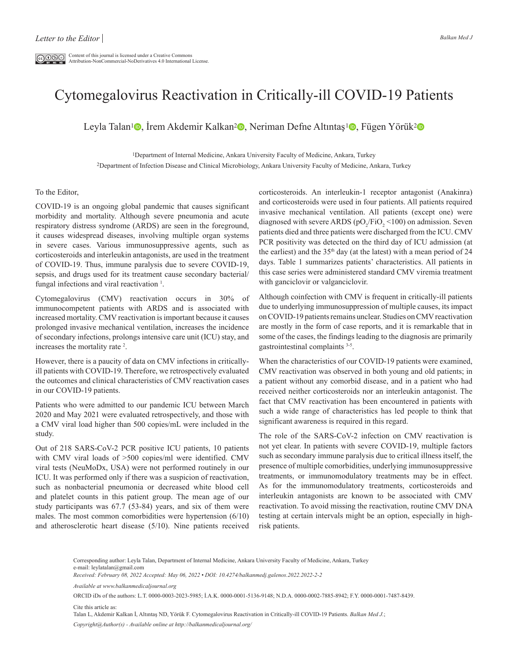## Cytomegalovirus Reactivation in Critically-ill COVID-19 Patients

Leyla Talan<sup>1</sup> , İrem Akdemir Kalkan<sup>2</sup> , Neriman Defne Altıntaş<sup>1</sup> , Fügen Yörük<sup>2</sup> D

<sup>1</sup>Department of Internal Medicine, Ankara University Faculty of Medicine, Ankara, Turkey 2Department of Infection Disease and Clinical Microbiology, Ankara University Faculty of Medicine, Ankara, Turkey

## To the Editor,

COVID-19 is an ongoing global pandemic that causes significant morbidity and mortality. Although severe pneumonia and acute respiratory distress syndrome (ARDS) are seen in the foreground, it causes widespread diseases, involving multiple organ systems in severe cases. Various immunosuppressive agents, such as corticosteroids and interleukin antagonists, are used in the treatment of COVID-19. Thus, immune paralysis due to severe COVID-19, sepsis, and drugs used for its treatment cause secondary bacterial/ fungal infections and viral reactivation<sup>1</sup>.

Cytomegalovirus (CMV) reactivation occurs in 30% of immunocompetent patients with ARDS and is associated with increased mortality. CMV reactivation is important because it causes prolonged invasive mechanical ventilation, increases the incidence of secondary infections, prolongs intensive care unit (ICU) stay, and increases the mortality rate 2 .

However, there is a paucity of data on CMV infections in criticallyill patients with COVID-19. Therefore, we retrospectively evaluated the outcomes and clinical characteristics of CMV reactivation cases in our COVID-19 patients.

Patients who were admitted to our pandemic ICU between March 2020 and May 2021 were evaluated retrospectively, and those with a CMV viral load higher than 500 copies/mL were included in the study.

Out of 218 SARS-CoV-2 PCR positive ICU patients, 10 patients with CMV viral loads of >500 copies/ml were identified. CMV viral tests (NeuMoDx, USA) were not performed routinely in our ICU. It was performed only if there was a suspicion of reactivation, such as nonbacterial pneumonia or decreased white blood cell and platelet counts in this patient group. The mean age of our study participants was 67.7 (53-84) years, and six of them were males. The most common comorbidities were hypertension (6/10) and atherosclerotic heart disease (5/10). Nine patients received

corticosteroids. An interleukin-1 receptor antagonist (Anakinra) and corticosteroids were used in four patients. All patients required invasive mechanical ventilation. All patients (except one) were diagnosed with severe ARDS ( $pO_2/FiO_2 \leq 100$ ) on admission. Seven patients died and three patients were discharged from the ICU. CMV PCR positivity was detected on the third day of ICU admission (at the earliest) and the  $35<sup>th</sup>$  day (at the latest) with a mean period of 24 days. Table 1 summarizes patients' characteristics. All patients in this case series were administered standard CMV viremia treatment with ganciclovir or valganciclovir.

Although coinfection with CMV is frequent in critically-ill patients due to underlying immunosuppression of multiple causes, its impact on COVID-19 patients remains unclear. Studies on CMV reactivation are mostly in the form of case reports, and it is remarkable that in some of the cases, the findings leading to the diagnosis are primarily gastrointestinal complaints 3-5.

When the characteristics of our COVID-19 patients were examined, CMV reactivation was observed in both young and old patients; in a patient without any comorbid disease, and in a patient who had received neither corticosteroids nor an interleukin antagonist. The fact that CMV reactivation has been encountered in patients with such a wide range of characteristics has led people to think that significant awareness is required in this regard.

The role of the SARS-CoV-2 infection on CMV reactivation is not yet clear. In patients with severe COVID-19, multiple factors such as secondary immune paralysis due to critical illness itself, the presence of multiple comorbidities, underlying immunosuppressive treatments, or immunomodulatory treatments may be in effect. As for the immunomodulatory treatments, corticosteroids and interleukin antagonists are known to be associated with CMV reactivation. To avoid missing the reactivation, routine CMV DNA testing at certain intervals might be an option, especially in highrisk patients.

*Received: February 08, 2022 Accepted: May 06, 2022 • DOI: 10.4274/balkanmedj.galenos.2022.2022-2-2*

*Available at www.balkanmedicaljournal.org*

ORCID iDs of the authors: L.T. 0000-0003-2023-5985; İ.A.K. 0000-0001-5136-9148; N.D.A. 0000-0002-7885-8942; F.Y. 0000-0001-7487-8439.

Cite this article as:

Talan L, Akdemir Kalkan İ, Altıntaş ND, Yörük F. Cytomegalovirus Reactivation in Critically-ill COVID-19 Patients. *Balkan Med J.*;

*Copyright@Author(s) - Available online at http://balkanmedicaljournal.org/*

Corresponding author: Leyla Talan, Department of Internal Medicine, Ankara University Faculty of Medicine, Ankara, Turkey e-mail: leylatalan@gmail.com